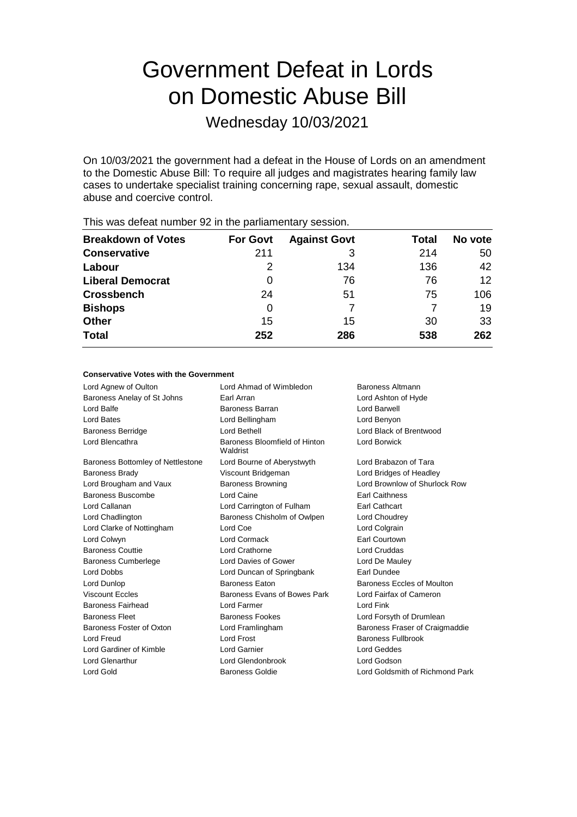# Government Defeat in Lords on Domestic Abuse Bill

Wednesday 10/03/2021

On 10/03/2021 the government had a defeat in the House of Lords on an amendment to the Domestic Abuse Bill: To require all judges and magistrates hearing family law cases to undertake specialist training concerning rape, sexual assault, domestic abuse and coercive control.

| <b>Breakdown of Votes</b> | <b>For Govt</b> | <b>Against Govt</b> | Total | No vote |
|---------------------------|-----------------|---------------------|-------|---------|
| <b>Conservative</b>       | 211             | 3                   | 214   | 50      |
| Labour                    | 2               | 134                 | 136   | 42      |
| <b>Liberal Democrat</b>   | 0               | 76                  | 76    | 12      |
| <b>Crossbench</b>         | 24              | 51                  | 75    | 106     |
| <b>Bishops</b>            | 0               |                     |       | 19      |
| <b>Other</b>              | 15              | 15                  | 30    | 33      |
| <b>Total</b>              | 252             | 286                 | 538   | 262     |
|                           |                 |                     |       |         |

This was defeat number 92 in the parliamentary session.

### **Conservative Votes with the Government**

| Lord Agnew of Oulton              | Lord Ahmad of Wimbledon                                   | Baroness Altmann                |  |
|-----------------------------------|-----------------------------------------------------------|---------------------------------|--|
| Baroness Anelay of St Johns       | Earl Arran<br>Lord Ashton of Hyde                         |                                 |  |
| Lord Balfe                        | <b>Baroness Barran</b>                                    | Lord Barwell                    |  |
| <b>Lord Bates</b>                 | Lord Bellingham                                           | Lord Benyon                     |  |
| <b>Baroness Berridge</b>          | Lord Bethell                                              | Lord Black of Brentwood         |  |
| Lord Blencathra                   | Lord Borwick<br>Baroness Bloomfield of Hinton<br>Waldrist |                                 |  |
| Baroness Bottomley of Nettlestone | Lord Bourne of Aberystwyth                                | Lord Brabazon of Tara           |  |
| <b>Baroness Brady</b>             | Viscount Bridgeman                                        | Lord Bridges of Headley         |  |
| Lord Brougham and Vaux            | <b>Baroness Browning</b>                                  | Lord Brownlow of Shurlock Row   |  |
| Baroness Buscombe                 | Lord Caine                                                | <b>Earl Caithness</b>           |  |
| Lord Callanan                     | Lord Carrington of Fulham                                 | <b>Earl Cathcart</b>            |  |
| Lord Chadlington                  | Baroness Chisholm of Owlpen                               | Lord Choudrey                   |  |
| Lord Clarke of Nottingham         | Lord Coe                                                  | Lord Colgrain                   |  |
| Lord Colwyn                       | Lord Cormack                                              | <b>Earl Courtown</b>            |  |
| <b>Baroness Couttie</b>           | Lord Crathorne                                            | Lord Cruddas                    |  |
| <b>Baroness Cumberlege</b>        | Lord Davies of Gower                                      | Lord De Mauley                  |  |
| <b>Lord Dobbs</b>                 | Lord Duncan of Springbank                                 | Earl Dundee                     |  |
| Lord Dunlop                       | <b>Baroness Eaton</b>                                     | Baroness Eccles of Moulton      |  |
| <b>Viscount Eccles</b>            | Baroness Evans of Bowes Park                              | Lord Fairfax of Cameron         |  |
| Baroness Fairhead                 | Lord Farmer                                               | Lord Fink                       |  |
| <b>Baroness Fleet</b>             | Baroness Fookes                                           | Lord Forsyth of Drumlean        |  |
| Baroness Foster of Oxton          | Lord Framlingham                                          | Baroness Fraser of Craigmaddie  |  |
| Lord Freud                        | Lord Frost                                                | <b>Baroness Fullbrook</b>       |  |
| Lord Gardiner of Kimble           | Lord Garnier                                              | Lord Geddes                     |  |
| Lord Glenarthur                   | Lord Glendonbrook                                         | Lord Godson                     |  |
| Lord Gold                         | <b>Baroness Goldie</b>                                    | Lord Goldsmith of Richmond Park |  |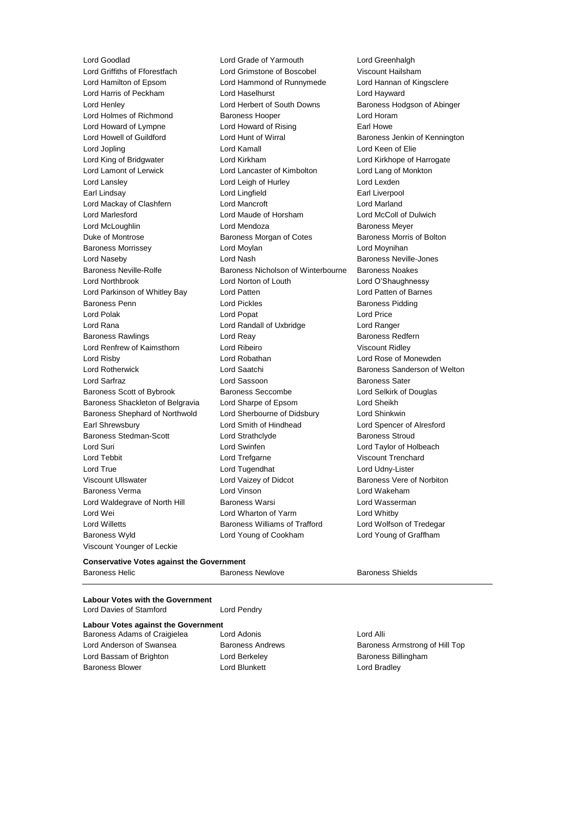Lord Goodlad Lord Grade of Yarmouth Lord Greenhalgh Lord Griffiths of Fforestfach Lord Grimstone of Boscobel Viscount Hailsham Lord Hamilton of Epsom Lord Hammond of Runnymede Lord Hannan of Kingsclere Lord Harris of Peckham Lord Haselhurst Lord Hayward Lord Henley **Lord Herbert of South Downs** Baroness Hodgson of Abinger Lord Holmes of Richmond Baroness Hooper Lord Horam Lord Howard of Lympne Lord Howard of Rising Earl Howe Lord Howell of Guildford **Lord Hunt of Wirral** Baroness Jenkin of Kennington Lord Jopling Lord Kamall Lord Keen of Elie Lord King of Bridgwater Lord Kirkham Lord Kirkhope of Harrogate Lord Lamont of Lerwick Lord Lancaster of Kimbolton Lord Lang of Monkton Lord Lansley **Lord Leigh of Hurley** Lord Lexden Earl Lindsay Lord Lingfield Earl Liverpool Lord Mackay of Clashfern Lord Mancroft Lord Marland Lord Marlesford Lord Maude of Horsham Lord McColl of Dulwich Lord McLoughlin Lord Mendoza Baroness Meyer Duke of Montrose Baroness Morgan of Cotes Baroness Morris of Bolton Baroness Morrissey Lord Moylan Lord Moynihan Lord Naseby **Lord Nash Baroness Neville-Jones** Lord Nash Baroness Neville-Jones Baroness Neville-Rolfe Baroness Nicholson of Winterbourne Baroness Noakes Lord Northbrook Lord Norton of Louth Lord O'Shaughnessy Lord Parkinson of Whitley Bay **Lord Patten Communisty Cord Patten Lord Patten of Barnes** Baroness Penn **Example 2** Lord Pickles **Communist Pickles** Baroness Pidding Lord Polak Lord Popat Lord Price Lord Rana Lord Randall of Uxbridge Lord Ranger Baroness Rawlings **Example 2** Lord Reay **Reast Constructs** Baroness Redfern Lord Renfrew of Kaimsthorn **Lord Ribeiro Viscount Ridley** Lord Risby Lord Robathan Lord Rose of Monewden Lord Rotherwick **Lord Saatchi** Baroness Sanderson of Welton Lord Sarfraz Lord Sassoon Baroness Sater Baroness Scott of Bybrook Baroness Seccombe Lord Selkirk of Douglas Baroness Shackleton of Belgravia Lord Sharpe of Epsom Lord Sheikh Baroness Shephard of Northwold Lord Sherbourne of Didsbury Lord Shinkwin Earl Shrewsbury Lord Smith of Hindhead Lord Spencer of Alresford Baroness Stedman-Scott Lord Strathclyde Baroness Stroud Lord Suri Lord Swinfen Lord Taylor of Holbeach Lord Tebbit Lord Trefgarne Viscount Trenchard Lord True Lord Tugendhat Lord Udny-Lister Viscount Ullswater Lord Vaizey of Didcot Baroness Vere of Norbiton Baroness Verma Lord Vinson Lord Wakeham Lord Waldegrave of North Hill Baroness Warsi **Lord Wasserman** Lord Wei Lord Wharton of Yarm Lord Whitby Lord Willetts Baroness Williams of Trafford Lord Wolfson of Tredegar Baroness Wyld Lord Young of Cookham Lord Young of Graffham Viscount Younger of Leckie

## **Conservative Votes against the Government**

Baroness Helic **Baroness Newlove** Baroness Newlove Baroness Shields

**Labour Votes with the Government** Lord Davies of Stamford Lord Pendry

### **Labour Votes against the Government** Baroness Adams of Craigielea Lord Adonis Lord Alli

Lord Anderson of Swansea Baroness Andrews Baroness Armstrong of Hill Top Lord Bassam of Brighton **Lord Berkeley Baroness Billingham** Baroness Blower **Lord Blunkett** Lord Bradley **Lord Bradley**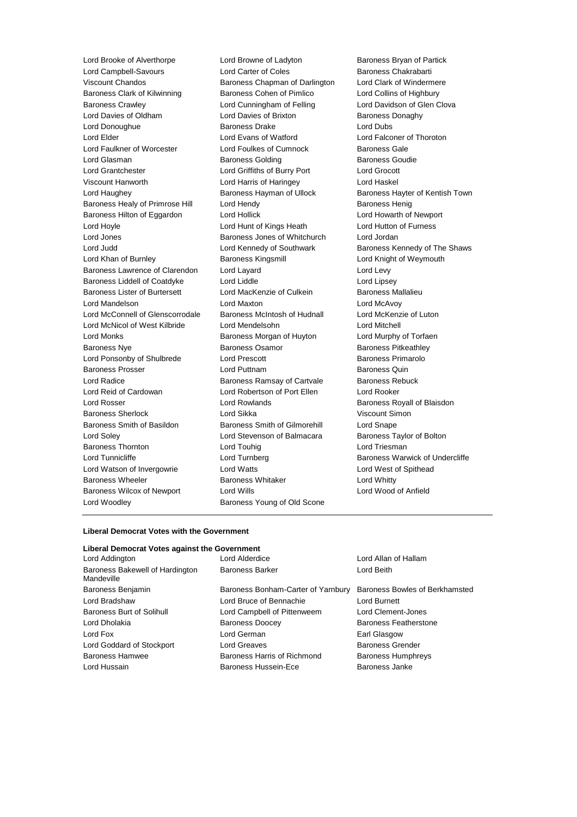Lord Brooke of Alverthorpe Lord Browne of Ladyton Baroness Bryan of Partick Lord Campbell-Savours **Lord Carter of Coles** Baroness Chakrabarti Viscount Chandos Baroness Chapman of Darlington Lord Clark of Windermere Baroness Clark of Kilwinning **Baroness Cohen of Pimlico** Lord Collins of Highbury Baroness Crawley **Lord Cunningham of Felling** Lord Davidson of Glen Clova Lord Davies of Oldham **Lord Davies of Brixton** Baroness Donaghy Lord Donoughue **Baroness Drake** Lord Dubs Lord Elder Lord Evans of Watford Lord Falconer of Thoroton Lord Faulkner of Worcester Lord Foulkes of Cumnock Baroness Gale<br>
Lord Glasman **Communist Baroness Golding** Baroness Goudie Lord Glasman Baroness Golding Lord Grantchester Lord Griffiths of Burry Port Lord Grocott Viscount Hanworth Lord Harris of Haringey Lord Haskel Lord Haughey **Baroness Hayman of Ullock** Baroness Hayter of Kentish Town Baroness Healy of Primrose Hill Lord Hendy **Baroness Henig** Baroness Henig Baroness Hilton of Eggardon Lord Hollick Lord Howarth of Newport Lord Hoyle Lord Hunt of Kings Heath Lord Hutton of Furness Lord Jones Baroness Jones of Whitchurch Lord Jordan Lord Judd **Lord Kennedy of Southwark** Baroness Kennedy of The Shaws Lord Khan of Burnley Baroness Kingsmill Lord Knight of Weymouth Baroness Lawrence of Clarendon Lord Layard Lord Levy Baroness Liddell of Coatdyke Lord Liddle Lord Lipsey Baroness Lister of Burtersett Lord MacKenzie of Culkein Baroness Mallalieu Lord Mandelson Lord Maxton Lord McAvoy Lord McConnell of Glenscorrodale Baroness McIntosh of Hudnall Lord McKenzie of Luton Lord McNicol of West Kilbride Lord Mendelsohn Lord Mitchell Lord Monks Baroness Morgan of Huyton Lord Murphy of Torfaen Baroness Nye **Baroness Osamor** Baroness Osamor **Baroness Pitkeathley** Lord Ponsonby of Shulbrede Lord Prescott **Baroness Primarolo** Baroness Prosser Lord Puttnam Baroness Quin Lord Radice **Baroness Ramsay of Cartvale** Baroness Rebuck Lord Reid of Cardowan Lord Robertson of Port Ellen Lord Rooker Lord Rosser Lord Rowlands Baroness Royall of Blaisdon Baroness Sherlock Lord Sikka Viscount Simon Baroness Smith of Basildon Baroness Smith of Gilmorehill Lord Snape Lord Soley Lord Stevenson of Balmacara Baroness Taylor of Bolton Baroness Thornton **Lord Touhig** Lord Touhig Lord Triesman Lord Tunnicliffe **Lord Turnberg** Lord Turnberg **Baroness Warwick of Undercliffe** Lord Watson of Invergowrie **Lord Watts** Lord West of Spithead Baroness Wheeler **Baroness Whitaker Baroness Whitaker** Lord Whitty Baroness Wilcox of Newport Lord Wills Lord Wood of Anfield Lord Woodley **Baroness Young of Old Scone** 

### **Liberal Democrat Votes with the Government**

## **Liberal Democrat Votes against the Government**

| Lord Addington                                | Lord Alderdice                     | Lord Allan of Hallam           |
|-----------------------------------------------|------------------------------------|--------------------------------|
| Baroness Bakewell of Hardington<br>Mandeville | <b>Baroness Barker</b>             | Lord Beith                     |
| Baroness Benjamin                             | Baroness Bonham-Carter of Yarnbury | Baroness Bowles of Berkhamsted |
| Lord Bradshaw                                 | Lord Bruce of Bennachie            | Lord Burnett                   |
| Baroness Burt of Solihull                     | Lord Campbell of Pittenweem        | Lord Clement-Jones             |
| Lord Dholakia                                 | <b>Baroness Doocey</b>             | Baroness Featherstone          |
| Lord Fox                                      | Lord German                        | Earl Glasgow                   |
| Lord Goddard of Stockport                     | Lord Greaves                       | <b>Baroness Grender</b>        |
| <b>Baroness Hamwee</b>                        | Baroness Harris of Richmond        | <b>Baroness Humphreys</b>      |
| Lord Hussain                                  | <b>Baroness Hussein-Ece</b>        | Baroness Janke                 |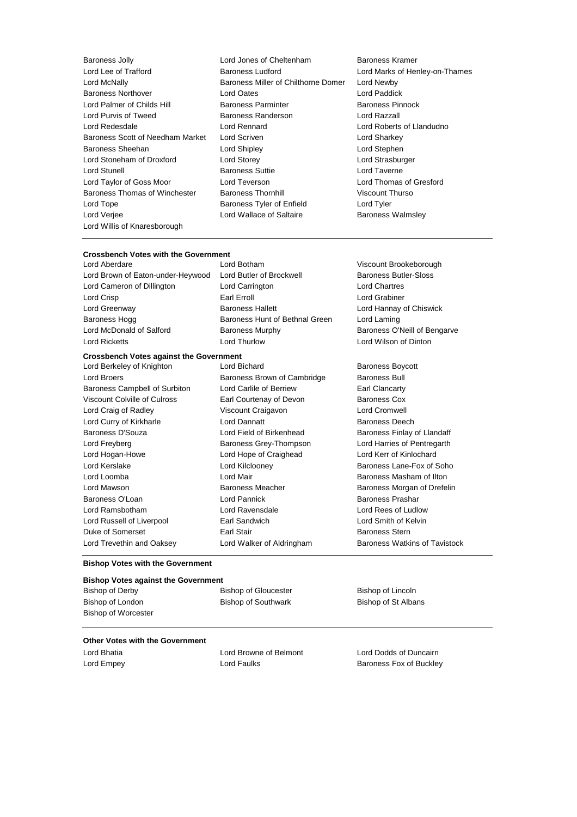Lord Lee of Trafford **Baroness Ludford** Lord Marks of Henley-on-Thames Lord McNally Baroness Miller of Chilthorne Domer Lord Newby Baroness Northover Lord Oates Lord Paddick Lord Palmer of Childs Hill Baroness Parminter Baroness Pinnock Lord Purvis of Tweed Baroness Randerson Lord Razzall Lord Redesdale Lord Rennard Lord Roberts of Llandudno Baroness Scott of Needham Market Lord Scriven Lord Sharkey Lord Sharkey Baroness Sheehan Lord Shipley Lord Stephen Lord Stoneham of Droxford Lord Storey Lord Strasburger Lord Stunell **Baroness Suttie Lord Taverne** Lord Taylor of Goss Moor Lord Teverson Lord Thomas of Gresford Baroness Thomas of Winchester Baroness Thornhill Viscount Thurso Lord Tope **Baroness Tyler of Enfield** Lord Tyler Lord Verjee Lord Wallace of Saltaire Baroness Walmsley Lord Willis of Knaresborough

Baroness Jolly Lord Jones of Cheltenham Baroness Kramer

# **Crossbench Votes with the Government**

Lord Aberdare Lord Botham Viscount Brookeborough Lord Brown of Eaton-under-Heywood Lord Butler of Brockwell Baroness Butler-Sloss Lord Cameron of Dillington Lord Carrington Lord Chartres Lord Crisp **Earl Erroll** Earl Erroll **Earl Erroll** Lord Grabiner Lord Greenway **Baroness Hallett** Lord Hannay of Chiswick Baroness Hogg Baroness Hunt of Bethnal Green Lord Laming<br>
Lord McDonald of Salford Baroness Murphy Baroness O'I Lord McDonald of Salford Baroness Murphy Baroness O'Neill of Bengarve Lord Ricketts Lord Thurlow Lord Wilson of Dinton

# **Crossbench Votes against the Government**<br>Lord Berkeley of Knighton **Lord Bichard**

Lord Broers **Baroness Brown of Cambridge** Baroness Bull Baroness Campbell of Surbiton Lord Carlile of Berriew Earl Clancarty Viscount Colville of Culross Earl Courtenay of Devon Baroness Cox Lord Craig of Radley Viscount Craigavon Lord Cromwell Lord Curry of Kirkharle Lord Dannatt Baroness Deech Baroness D'Souza Lord Field of Birkenhead Baroness Finlay of Llandaff Lord Freyberg **Baroness Grey-Thompson** Lord Harries of Pentregarth Lord Hogan-Howe Lord Hope of Craighead Lord Kerr of Kinlochard Lord Kerslake Lord Kilclooney Baroness Lane-Fox of Soho Lord Loomba Lord Mair Baroness Masham of Ilton Lord Mawson Baroness Meacher Baroness Morgan of Drefelin Baroness O'Loan **Lord Pannick** Baroness Prashar Lord Ramsbotham Lord Ravensdale Lord Rees of Ludlow Lord Russell of Liverpool Earl Sandwich Lord Smith of Kelvin Duke of Somerset Earl Stair Baroness Stern

Lord Berkeley of Knighton **Lord Bichard Baroness Boycott** 

Lord Trevethin and Oaksey **Lord Walker of Aldringham** Baroness Watkins of Tavistock

### **Bishop Votes with the Government**

### **Bishop Votes against the Government**

Bishop of Derby Bishop of Gloucester Bishop of Lincoln Bishop of London **Bishop of Southwark** Bishop of St Albans

### **Other Votes with the Government**

Bishop of Worcester

Lord Bhatia Lord Browne of Belmont Lord Dodds of Duncairn Lord Empey **Lord Faulks Baroness Fox of Buckley**